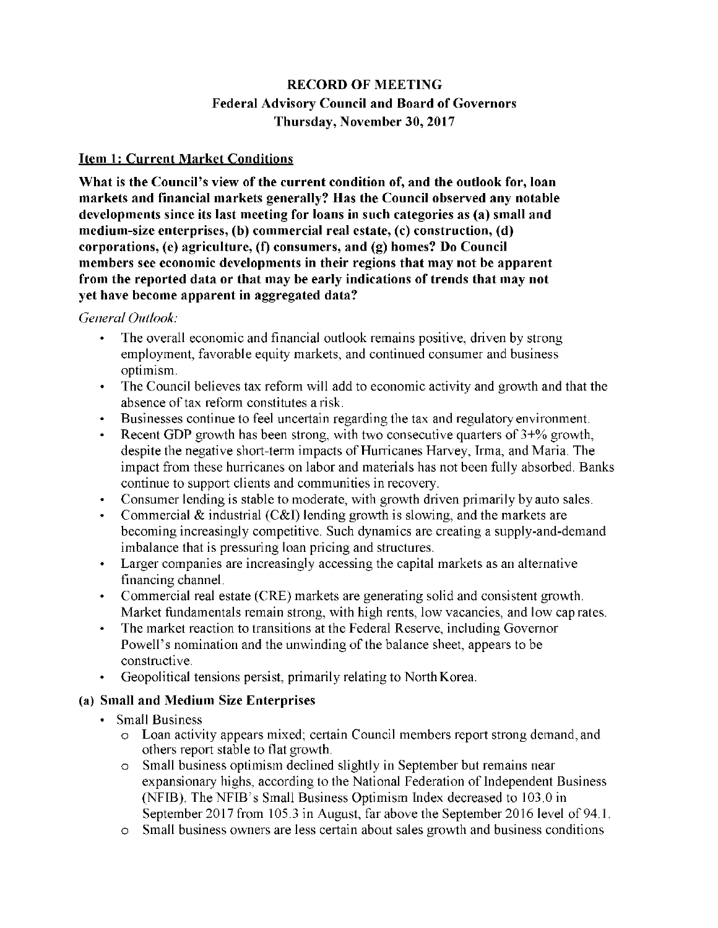# **RECORD OF MEETING Federal Advisory Council and Board of Governors Thursday, November 30, 2017**

## **Item 1: Current Market Conditions**

**What is the Council's view of the current condition of, and the outlook for, loan markets and financial markets generally? Has the Council observed any notable developments since its last meeting for loans in such categories as (a) small and medium-size enterprises, (b) commercial real estate, (c) construction, (d) corporations, (e) agriculture, (f) consumers, and (g) homes? Do Council members see economic developments in their regions that may not be apparent from the reported data or that may be early indications of trends that may not yet have become apparent in aggregated data?** 

#### *General Outlook:*

- The overall economic and financial outlook remains positive, driven by strong employment, favorable equity markets, and continued consumer and business optimism.
- The Council believes tax reform will add to economic activity and growth and that the absence of tax reform constitutes a risk.
- Businesses continue to feel uncertain regarding the tax and regulatory environment.
- Recent GDP growth has been strong, with two consecutive quarters of  $3+%$  growth, despite the negative short-term impacts of Hurricanes Harvey, Irma, and Maria. The impact from these hurricanes on labor and materials has not been fully absorbed. Banks continue to support clients and communities in recovery.
- Consumer lending is stable to moderate, with growth driven primarily by auto sales.
- Commercial & industrial  $(C&I)$  lending growth is slowing, and the markets are becoming increasingly competitive. Such dynamics are creating a supply-and-demand imbalance that is pressuring loan pricing and structures.
- Larger companies are increasingly accessing the capital markets as an alternative financing channel.
- Commercial real estate (CRE) markets are generating solid and consistent growth. Market fundamentals remain strong, with high rents, low vacancies, and low cap rates.
- The market reaction to transitions at the Federal Reserve, including Governor Powell's nomination and the unwinding of the balance sheet, appears to be constructive.
- Geopolitical tensions persist, primarily relating to North Korea.

## **(a) Small and Medium Size Enterprises**

- Small Business
	- o Loan activity appears mixed; certain Council members report strong demand, and others report stable to flat growth.
	- o Small business optimism declined slightly in September but remains near expansionary highs, according to the National Federation of Independent Business (NFIB). The NFIB's Small Business Optimism Index decreased to 103.0 in September 2017 from 105.3 in August, far above the September 2016 level of 94.1.
	- o Small business owners are less certain about sales growth and business conditions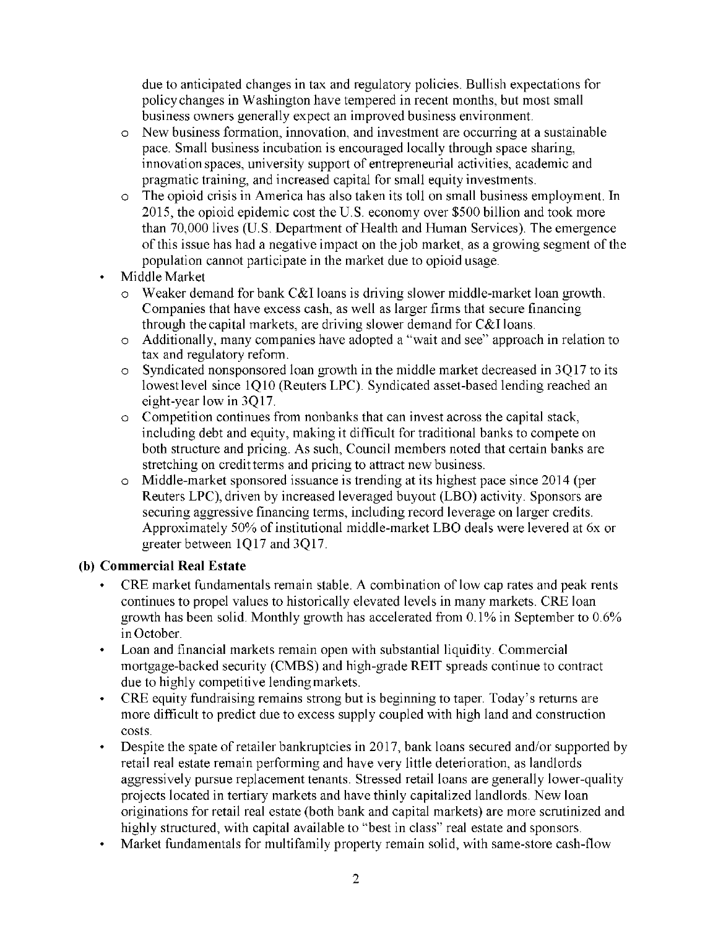due to anticipated changes in tax and regulatory policies. Bullish expectations for policy changes in Washington have tempered in recent months, but most small business owners generally expect an improved business environment.

- o New business formation, innovation, and investment are occurring at a sustainable pace. Small business incubation is encouraged locally through space sharing, innovation spaces, university support of entrepreneurial activities, academic and pragmatic training, and increased capital for small equity investments.
- o The opioid crisis in America has also taken its toll on small business employment. In 2015, the opioid epidemic cost the U.S. economy over \$500 billion and took more than 70,000 lives (U.S. Department of Health and Human Services). The emergence of this issue has had a negative impact on the job market, as a growing segment of the population cannot participate in the market due to opioid usage.
- Middle Market
	- $\circ$  Weaker demand for bank C&I loans is driving slower middle-market loan growth. Companies that have excess cash, as well as larger firms that secure financing through the capital markets, are driving slower demand for C&I loans.
	- o Additionally, many companies have adopted a "wait and see" approach in relation to tax and regulatory reform.
	- o Syndicated nonsponsored loan growth in the middle market decreased in 3Q17 to its lowest level since 1Q10 (Reuters LPC). Syndicated asset-based lending reached an eight-year low in 3Q17.
	- o Competition continues from nonbanks that can invest across the capital stack, including debt and equity, making it difficult for traditional banks to compete on both structure and pricing. As such, Council members noted that certain banks are stretching on credit terms and pricing to attract new business.
	- o Middle-market sponsored issuance is trending at its highest pace since 2014 (per Reuters LPC), driven by increased leveraged buyout (LBO) activity. Sponsors are securing aggressive financing terms, including record leverage on larger credits. Approximately 50% of institutional middle-market LBO deals were levered at 6x or greater between 1Q17 and 3Q17.

## **(b) Commercial Real Estate**

- CRE market fundamentals remain stable. A combination of low cap rates and peak rents continues to propel values to historically elevated levels in many markets. CRE loan growth has been solid. Monthly growth has accelerated from 0.1% in September to 0.6% in October.
- Loan and financial markets remain open with substantial liquidity. Commercial mortgage-backed security (CMBS) and high-grade REIT spreads continue to contract due to highly competitive lending markets.
- CRE equity fundraising remains strong but is beginning to taper. Today's returns are more difficult to predict due to excess supply coupled with high land and construction costs.
- Despite the spate of retailer bankruptcies in 2017, bank loans secured and/or supported by retail real estate remain performing and have very little deterioration, as landlords aggressively pursue replacement tenants. Stressed retail loans are generally lower-quality projects located in tertiary markets and have thinly capitalized landlords. New loan originations for retail real estate (both bank and capital markets) are more scrutinized and highly structured, with capital available to "best in class" real estate and sponsors.
- Market fundamentals for multifamily property remain solid, with same-store cash-flow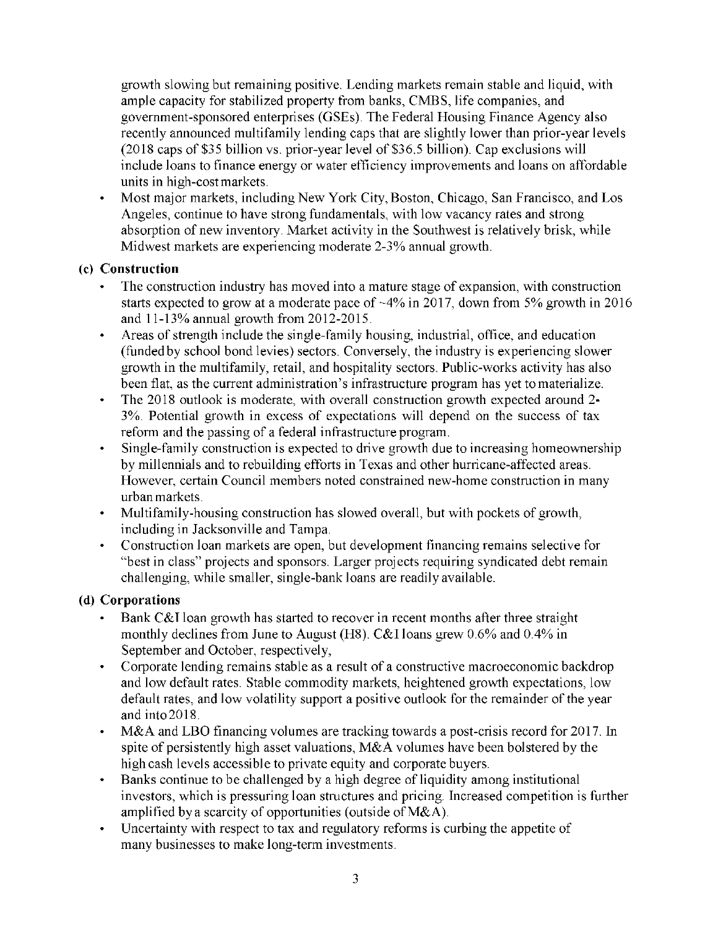growth slowing but remaining positive. Lending markets remain stable and liquid, with ample capacity for stabilized property from banks, CMBS, life companies, and government-sponsored enterprises (GSEs). The Federal Housing Finance Agency also recently announced multifamily lending caps that are slightly lower than prior-year levels (2018 caps of \$35 billion vs. prior-year level of \$36.5 billion). Cap exclusions will include loans to finance energy or water efficiency improvements and loans on affordable units in high-cost markets.

• Most major markets, including New York City, Boston, Chicago, San Francisco, and Los Angeles, continue to have strong fundamentals, with low vacancy rates and strong absorption of new inventory. Market activity in the Southwest is relatively brisk, while Midwest markets are experiencing moderate 2-3% annual growth.

# **(c) Construction**

- The construction industry has moved into a mature stage of expansion, with construction starts expected to grow at a moderate pace of ~4% in 2017, down from 5% growth in 2016 and 11-13% annual growth from 2012-2015.
- Areas of strength include the single-family housing, industrial, office, and education (funded by school bond levies) sectors. Conversely, the industry is experiencing slower growth in the multifamily, retail, and hospitality sectors. Public-works activity has also been flat, as the current administration's infrastructure program has yet to materialize.
- The 2018 outlook is moderate, with overall construction growth expected around 2-3%. Potential growth in excess of expectations will depend on the success of tax reform and the passing of a federal infrastructure program.
- Single-family construction is expected to drive growth due to increasing homeownership by millennials and to rebuilding efforts in Texas and other hurricane-affected areas. However, certain Council members noted constrained new-home construction in many urban markets.
- Multifamily-housing construction has slowed overall, but with pockets of growth, including in Jacksonville and Tampa.
- Construction loan markets are open, but development financing remains selective for "best in class" projects and sponsors. Larger projects requiring syndicated debt remain challenging, while smaller, single-bank loans are readily available.

## **(d) Corporations**

- Bank C&I loan growth has started to recover in recent months after three straight monthly declines from June to August (H8). C&I loans grew 0.6% and 0.4% in September and October, respectively,
- Corporate lending remains stable as a result of a constructive macroeconomic backdrop and low default rates. Stable commodity markets, heightened growth expectations, low default rates, and low volatility support a positive outlook for the remainder of the year and into 2018.
- M&A and LBO financing volumes are tracking towards a post-crisis record for 2017. In spite of persistently high asset valuations, M&A volumes have been bolstered by the high cash levels accessible to private equity and corporate buyers.
- Banks continue to be challenged by a high degree of liquidity among institutional investors, which is pressuring loan structures and pricing. Increased competition is further amplified by a scarcity of opportunities (outside of M&A).
- Uncertainty with respect to tax and regulatory reforms is curbing the appetite of many businesses to make long-term investments.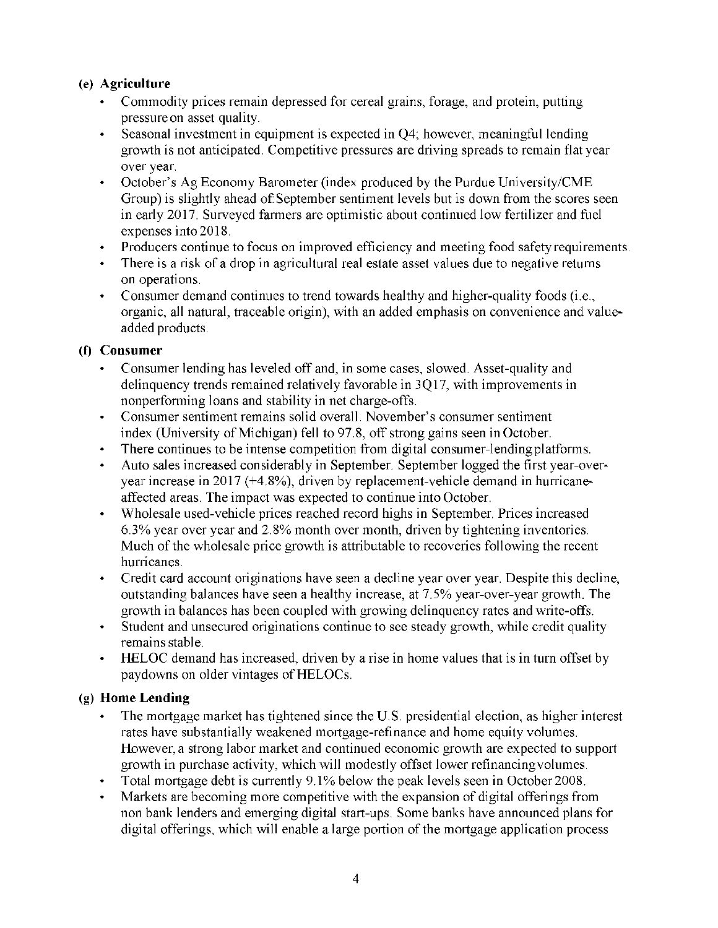# **(e) Agriculture**

- Commodity prices remain depressed for cereal grains, forage, and protein, putting pressure on asset quality.
- Seasonal investment in equipment is expected in Q4; however, meaningful lending growth is not anticipated. Competitive pressures are driving spreads to remain flat year over year.
- October's Ag Economy Barometer (index produced by the Purdue University/CME Group) is slightly ahead of September sentiment levels but is down from the scores seen in early 2017. Surveyed farmers are optimistic about continued low fertilizer and fuel expenses into 2018.
- Producers continue to focus on improved efficiency and meeting food safety requirements.
- There is a risk of a drop in agricultural real estate asset values due to negative returns on operations.
- Consumer demand continues to trend towards healthy and higher-quality foods (i.e., organic, all natural, traceable origin), with an added emphasis on convenience and value added products.

# **(f) Consumer**

- Consumer lending has leveled off and, in some cases, slowed. Asset-quality and delinquency trends remained relatively favorable in 3Q17, with improvements in nonperforming loans and stability in net charge-offs.
- Consumer sentiment remains solid overall. November's consumer sentiment index (University of Michigan) fell to 97.8, off strong gains seen in October.
- There continues to be intense competition from digital consumer-lending platforms.
- Auto sales increased considerably in September. September logged the first year-over year increase in 2017 (+4.8%), driven by replacement-vehicle demand in hurricane affected areas. The impact was expected to continue into October.
- Wholesale used-vehicle prices reached record highs in September. Prices increased 6.3% year over year and 2.8% month over month, driven by tightening inventories. Much of the wholesale price growth is attributable to recoveries following the recent hurricanes.
- Credit card account originations have seen a decline year over year. Despite this decline, outstanding balances have seen a healthy increase, at 7.5% year-over-year growth. The growth in balances has been coupled with growing delinquency rates and write-offs.
- Student and unsecured originations continue to see steady growth, while credit quality remains stable.
- HELOC demand has increased, driven by a rise in home values that is in turn offset by paydowns on older vintages of HELOCs.

# **(g) Home Lending**

- The mortgage market has tightened since the U.S. presidential election, as higher interest rates have substantially weakened mortgage-refinance and home equity volumes. However, a strong labor market and continued economic growth are expected to support growth in purchase activity, which will modestly offset lower refinancing volumes.
- Total mortgage debt is currently 9.1% below the peak levels seen in October 2008.
- Markets are becoming more competitive with the expansion of digital offerings from non bank lenders and emerging digital start-ups. Some banks have announced plans for digital offerings, which will enable a large portion of the mortgage application process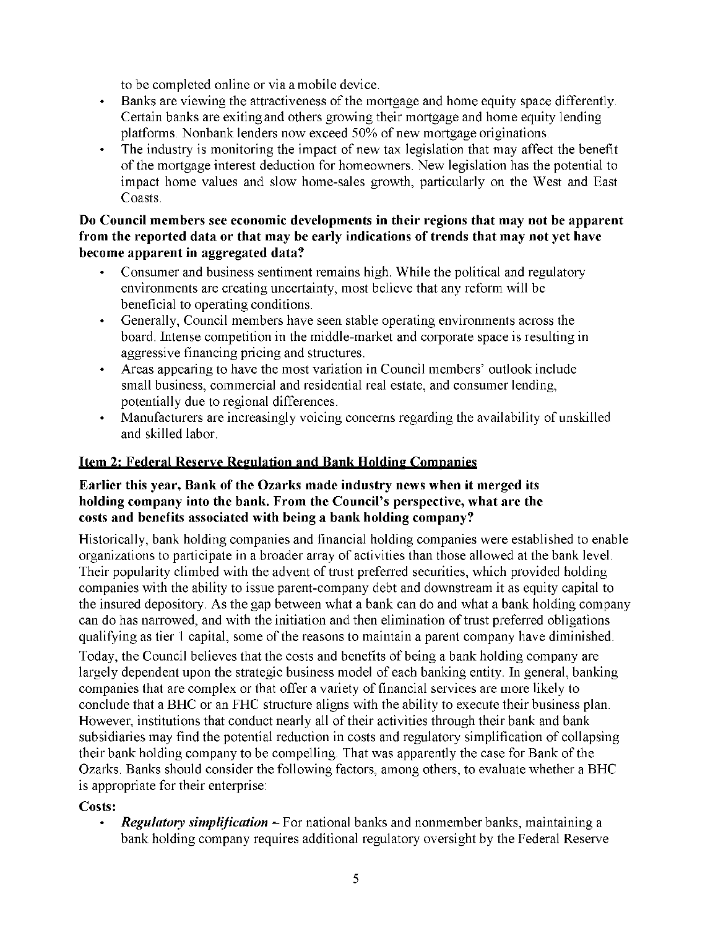to be completed online or via a mobile device.

- Banks are viewing the attractiveness of the mortgage and home equity space differently. Certain banks are exiting and others growing their mortgage and home equity lending platforms. Nonbank lenders now exceed 50% of new mortgage originations.
- The industry is monitoring the impact of new tax legislation that may affect the benefit of the mortgage interest deduction for homeowners. New legislation has the potential to impact home values and slow home-sales growth, particularly on the West and East Coasts.

## **Do Council members see economic developments in their regions that may not be apparent from the reported data or that may be early indications of trends that may not yet have become apparent in aggregated data?**

- Consumer and business sentiment remains high. While the political and regulatory environments are creating uncertainty, most believe that any reform will be beneficial to operating conditions.
- Generally, Council members have seen stable operating environments across the board. Intense competition in the middle-market and corporate space is resulting in aggressive financing pricing and structures.
- Areas appearing to have the most variation in Council members' outlook include small business, commercial and residential real estate, and consumer lending, potentially due to regional differences.
- Manufacturers are increasingly voicing concerns regarding the availability of unskilled and skilled labor.

# **Item 2: Federal Reserve Regulation and Bank Holding Companies**

## **Earlier this year, Bank of the Ozarks made industry news when it merged its holding company into the bank. From the Council's perspective, what are the costs and benefits associated with being a bank holding company?**

Historically, bank holding companies and financial holding companies were established to enable organizations to participate in a broader array of activities than those allowed at the bank level. Their popularity climbed with the advent of trust preferred securities, which provided holding companies with the ability to issue parent-company debt and downstream it as equity capital to the insured depository. As the gap between what a bank can do and what a bank holding company can do has narrowed, and with the initiation and then elimination of trust preferred obligations qualifying as tier 1 capital, some of the reasons to maintain a parent company have diminished. Today, the Council believes that the costs and benefits of being a bank holding company are largely dependent upon the strategic business model of each banking entity. In general, banking companies that are complex or that offer a variety of financial services are more likely to

conclude that a BHC or an FHC structure aligns with the ability to execute their business plan. However, institutions that conduct nearly all of their activities through their bank and bank subsidiaries may find the potential reduction in costs and regulatory simplification of collapsing their bank holding company to be compelling. That was apparently the case for Bank of the Ozarks. Banks should consider the following factors, among others, to evaluate whether a BHC is appropriate for their enterprise:

# **Costs:**

• Regulatory simplification – For national banks and nonmember banks, maintaining a bank holding company requires additional regulatory oversight by the Federal Reserve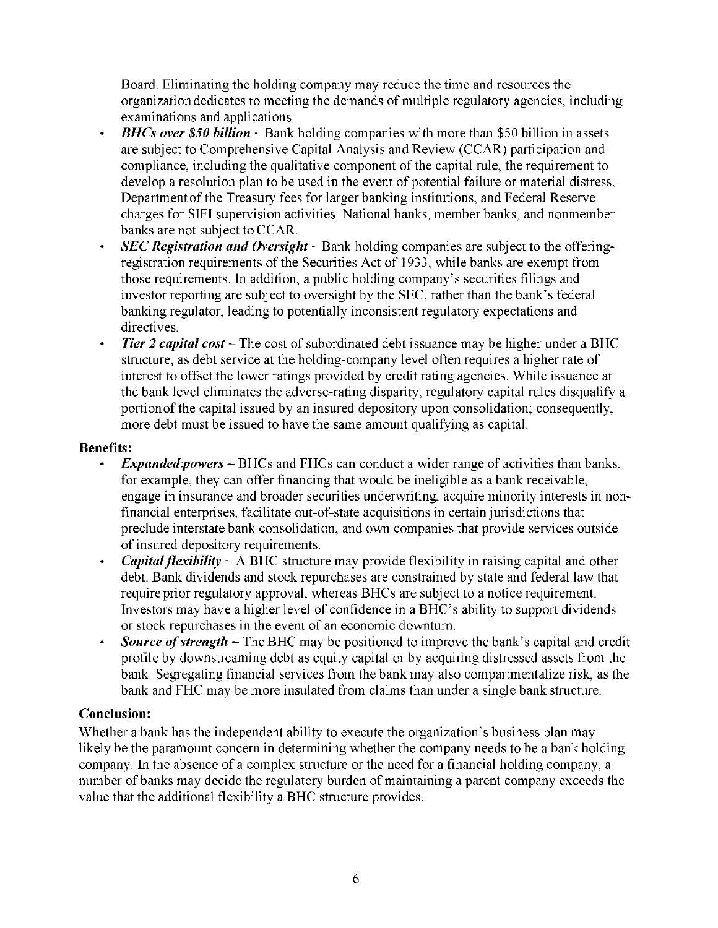Board. Eliminating the holding company may reduce the time and resources the organization dedicates to meeting the demands of multiple regulatory agencies, including examinations and applications.

- **BHCs over \$50 billion** Bank holding companies with more than \$50 billion in assets are subject to Comprehensive Capital Analysis and Review (CCAR) participation and compliance, including the qualitative component of the capital rule, the requirement to develop a resolution plan to be used in the event of potential failure or material distress, Department of the Treasury fees for larger banking institutions, and Federal Reserve charges for SIFI supervision activities. National banks, member banks, and nonmember banks are not subject to CCAR.
- SEC Registration and Oversight Bank holding companies are subject to the offeringregistration requirements of the Securities Act of 1933, while banks are exempt from those requirements. In addition, a public holding company's securities filings and investor reporting are subject to oversight by the SEC, rather than the bank's federal banking regulator, leading to potentially inconsistent regulatory expectations and directives.
- **•** Tier 2 capital cost The cost of subordinated debt issuance may be higher under a BHC structure, as debt service at the holding-company level often requires a higher rate of interest to offset the lower ratings provided by credit rating agencies. While issuance at the bank level eliminates the adverse-rating disparity, regulatory capital rules disqualify a portion of the capital issued by an insured depository upon consolidation; consequently, more debt must be issued to have the same amount qualifying as capital.

## **Benefits:**

- **•** *Expanded powers* BHCs and FHCs can conduct a wider range of activities than banks, for example, they can offer financing that would be ineligible as a bank receivable, engage in insurance and broader securities underwriting, acquire minority interests in non financial enterprises, facilitate out-of-state acquisitions in certain jurisdictions that preclude interstate bank consolidation, and own companies that provide services outside of insured depository requirements.
- *Capital flexibility* A BHC structure may provide flexibility in raising capital and other debt. Bank dividends and stock repurchases are constrained by state and federal law that require prior regulatory approval, whereas BHCs are subject to a notice requirement. Investors may have a higher level of confidence in a BHC's ability to support dividends or stock repurchases in the event of an economic downturn.
- **•** Source of strength The BHC may be positioned to improve the bank's capital and credit profile by downstreaming debt as equity capital or by acquiring distressed assets from the bank. Segregating financial services from the bank may also compartmentalize risk, as the bank and FHC may be more insulated from claims than under a single bank structure.

# **Conclusion:**

Whether a bank has the independent ability to execute the organization's business plan may likely be the paramount concern in determining whether the company needs to be a bank holding company. In the absence of a complex structure or the need for a financial holding company, a number of banks may decide the regulatory burden of maintaining a parent company exceeds the value that the additional flexibility a BHC structure provides.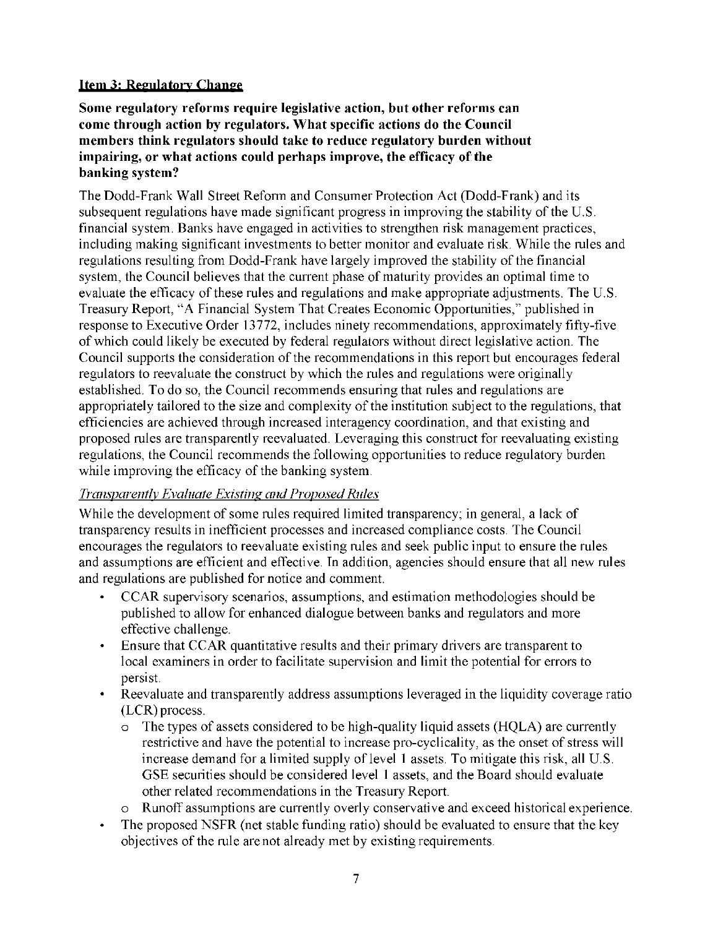## **Item 3: Regulatory Change**

**Some regulatory reforms require legislative action, but other reforms can come through action by regulators. What specific actions do the Council members think regulators should take to reduce regulatory burden without impairing, or what actions could perhaps improve, the efficacy of the banking system?** 

The Dodd-Frank Wall Street Reform and Consumer Protection Act (Dodd-Frank) and its subsequent regulations have made significant progress in improving the stability of the U.S. financial system. Banks have engaged in activities to strengthen risk management practices, including making significant investments to better monitor and evaluate risk. While the rules and regulations resulting from Dodd-Frank have largely improved the stability of the financial system, the Council believes that the current phase of maturity provides an optimal time to evaluate the efficacy of these rules and regulations and make appropriate adjustments. The U.S. Treasury Report, "A Financial System That Creates Economic Opportunities," published in response to Executive Order 13772, includes ninety recommendations, approximately fifty-five of which could likely be executed by federal regulators without direct legislative action. The Council supports the consideration of the recommendations in this report but encourages federal regulators to reevaluate the construct by which the rules and regulations were originally established. To do so, the Council recommends ensuring that rules and regulations are appropriately tailored to the size and complexity of the institution subject to the regulations, that efficiencies are achieved through increased interagency coordination, and that existing and proposed rules are transparently reevaluated. Leveraging this construct for reevaluating existing regulations, the Council recommends the following opportunities to reduce regulatory burden while improving the efficacy of the banking system.

## *Transparently Evaluate Existing and Proposed Rules*

While the development of some rules required limited transparency; in general, a lack of transparency results in inefficient processes and increased compliance costs. The Council encourages the regulators to reevaluate existing rules and seek public input to ensure the rules and assumptions are efficient and effective. In addition, agencies should ensure that all new rules and regulations are published for notice and comment.

- CCAR supervisory scenarios, assumptions, and estimation methodologies should be published to allow for enhanced dialogue between banks and regulators and more effective challenge.
- Ensure that CCAR quantitative results and their primary drivers are transparent to local examiners in order to facilitate supervision and limit the potential for errors to persist.
- Reevaluate and transparently address assumptions leveraged in the liquidity coverage ratio (LCR) process.
	- o The types of assets considered to be high-quality liquid assets (HQLA) are currently restrictive and have the potential to increase pro-cyclicality, as the onset of stress will increase demand for a limited supply of level 1 assets. To mitigate this risk, all U.S. GSE securities should be considered level 1 assets, and the Board should evaluate other related recommendations in the Treasury Report.
	- o Runoff assumptions are currently overly conservative and exceed historical experience.
- The proposed NSFR (net stable funding ratio) should be evaluated to ensure that the key objectives of the rule are not already met by existing requirements.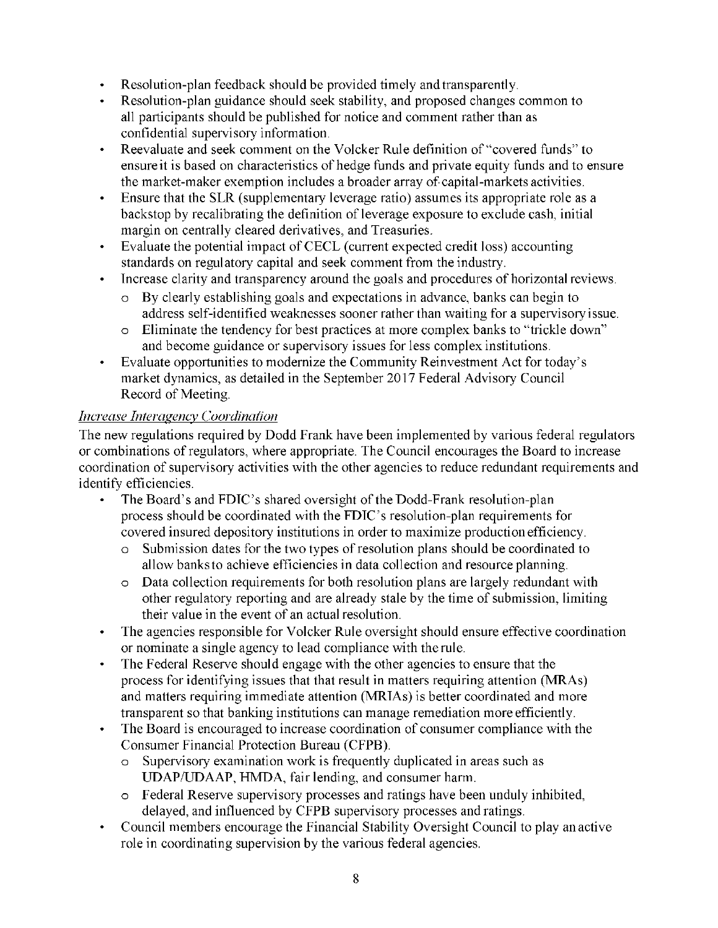- Resolution-plan feedback should be provided timely and transparently.
- Resolution-plan guidance should seek stability, and proposed changes common to all participants should be published for notice and comment rather than as confidential supervisory information.
- Reevaluate and seek comment on the Volcker Rule definition of "covered funds" to ensure it is based on characteristics of hedge funds and private equity funds and to ensure the market-maker exemption includes a broader array of capital-markets activities.
- Ensure that the SLR (supplementary leverage ratio) assumes its appropriate role as a backstop by recalibrating the definition of leverage exposure to exclude cash, initial margin on centrally cleared derivatives, and Treasuries.
- Evaluate the potential impact of CECL (current expected credit loss) accounting standards on regulatory capital and seek comment from the industry.
- Increase clarity and transparency around the goals and procedures of horizontal reviews.
	- o By clearly establishing goals and expectations in advance, banks can begin to address self-identified weaknesses sooner rather than waiting for a supervisory issue.
	- o Eliminate the tendency for best practices at more complex banks to "trickle down" and become guidance or supervisory issues for less complex institutions.
- Evaluate opportunities to modernize the Community Reinvestment Act for today's market dynamics, as detailed in the September 2017 Federal Advisory Council Record of Meeting.

# *Increase Interagency Coordination*

The new regulations required by Dodd Frank have been implemented by various federal regulators or combinations of regulators, where appropriate. The Council encourages the Board to increase coordination of supervisory activities with the other agencies to reduce redundant requirements and identify efficiencies.

- The Board's and FDIC's shared oversight of the Dodd-Frank resolution-plan process should be coordinated with the FDIC's resolution-plan requirements for covered insured depository institutions in order to maximize production efficiency.
	- o Submission dates for the two types of resolution plans should be coordinated to allow banks to achieve efficiencies in data collection and resource planning.
	- o Data collection requirements for both resolution plans are largely redundant with other regulatory reporting and are already stale by the time of submission, limiting their value in the event of an actual resolution.
- The agencies responsible for Volcker Rule oversight should ensure effective coordination or nominate a single agency to lead compliance with the rule.
- The Federal Reserve should engage with the other agencies to ensure that the process for identifying issues that that result in matters requiring attention (MRAs) and matters requiring immediate attention (MRIAs) is better coordinated and more transparent so that banking institutions can manage remediation more efficiently.
- The Board is encouraged to increase coordination of consumer compliance with the Consumer Financial Protection Bureau (CFPB).
	- o Supervisory examination work is frequently duplicated in areas such as UDAP/UDAAP, HMDA, fair lending, and consumer harm.
	- o Federal Reserve supervisory processes and ratings have been unduly inhibited, delayed, and influenced by CFPB supervisory processes and ratings.
- Council members encourage the Financial Stability Oversight Council to play an active role in coordinating supervision by the various federal agencies.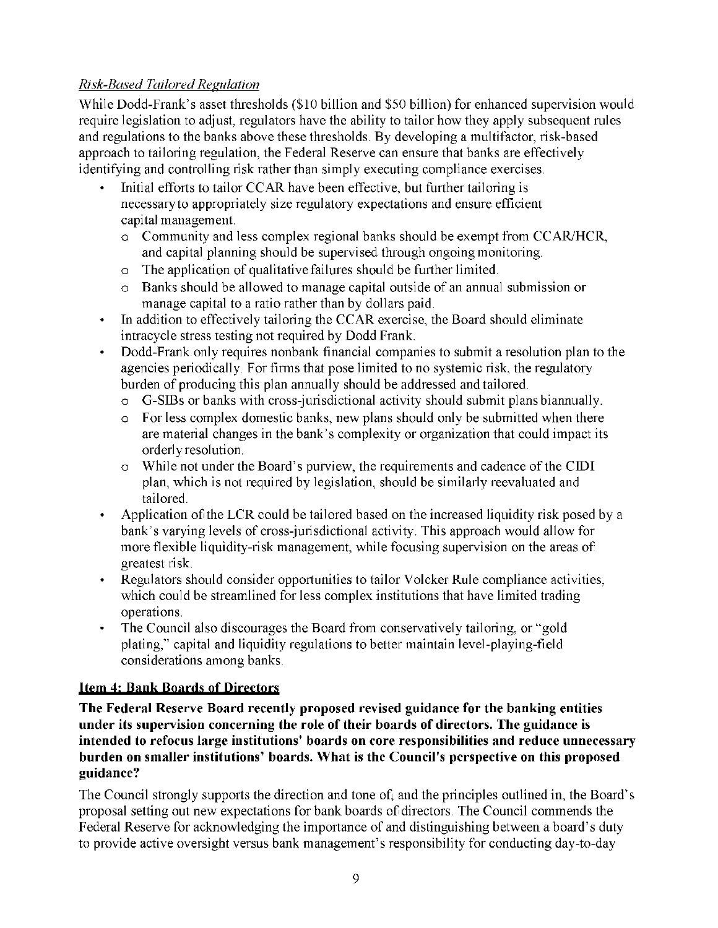# *Risk-Based Tailored Regulation*

While Dodd-Frank's asset thresholds (\$10 billion and \$50 billion) for enhanced supervision would require legislation to adjust, regulators have the ability to tailor how they apply subsequent rules and regulations to the banks above these thresholds. By developing a multifactor, risk-based approach to tailoring regulation, the Federal Reserve can ensure that banks are effectively identifying and controlling risk rather than simply executing compliance exercises.

- Initial efforts to tailor CCAR have been effective, but further tailoring is necessary to appropriately size regulatory expectations and ensure efficient capital management.
	- o Community and less complex regional banks should be exempt from CCAR/HCR, and capital planning should be supervised through ongoing monitoring.
	- o The application of qualitative failures should be further limited.
	- o Banks should be allowed to manage capital outside of an annual submission or manage capital to a ratio rather than by dollars paid.
- In addition to effectively tailoring the CCAR exercise, the Board should eliminate intracycle stress testing not required by Dodd Frank.
- Dodd-Frank only requires nonbank financial companies to submit a resolution plan to the agencies periodically. For firms that pose limited to no systemic risk, the regulatory burden of producing this plan annually should be addressed and tailored.
	- o G-SIBs or banks with cross-jurisdictional activity should submit plans biannually.
	- o For less complex domestic banks, new plans should only be submitted when there are material changes in the bank's complexity or organization that could impact its orderly resolution.
	- o While not under the Board's purview, the requirements and cadence of the CIDI plan, which is not required by legislation, should be similarly reevaluated and tailored.
- Application of the LCR could be tailored based on the increased liquidity risk posed by a bank's varying levels of cross-jurisdictional activity. This approach would allow for more flexible liquidity-risk management, while focusing supervision on the areas of greatest risk.
- Regulators should consider opportunities to tailor Volcker Rule compliance activities, which could be streamlined for less complex institutions that have limited trading operations.
- The Council also discourages the Board from conservatively tailoring, or "gold plating," capital and liquidity regulations to better maintain level-playing-field considerations among banks.

# **Item 4: Bank Boards of Directors**

**The Federal Reserve Board recently proposed revised guidance for the banking entities under its supervision concerning the role of their boards of directors. The guidance is intended to refocus large institutions' boards on core responsibilities and reduce unnecessary burden on smaller institutions' boards. What is the Council's perspective on this proposed guidance?** 

The Council strongly supports the direction and tone of, and the principles outlined in, the Board's proposal setting out new expectations for bank boards of directors. The Council commends the Federal Reserve for acknowledging the importance of and distinguishing between a board's duty to provide active oversight versus bank management's responsibility for conducting day-to-day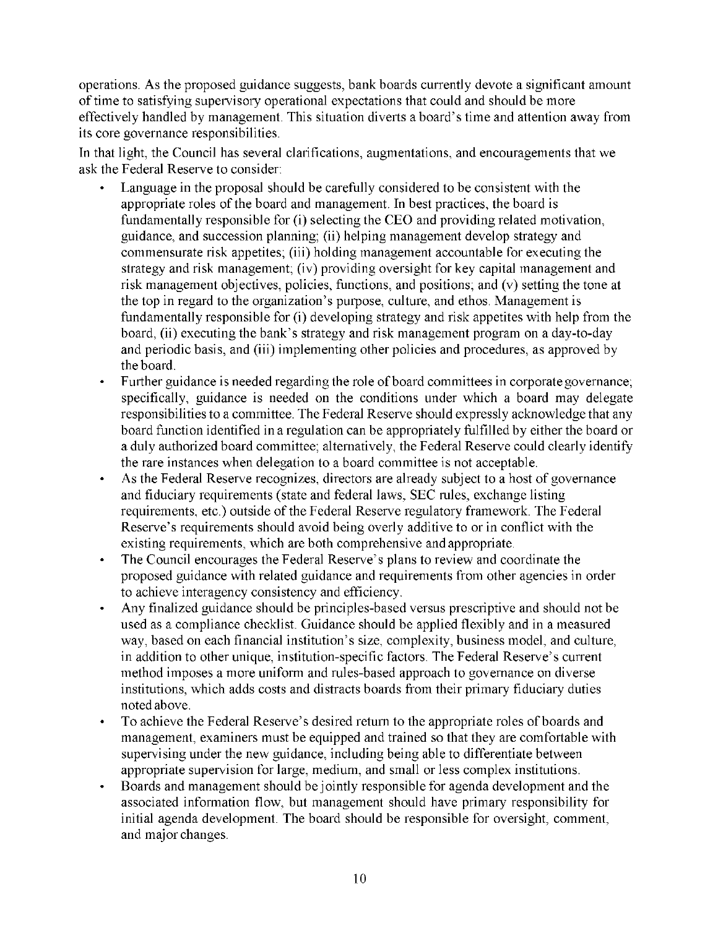operations. As the proposed guidance suggests, bank boards currently devote a significant amount of time to satisfying supervisory operational expectations that could and should be more effectively handled by management. This situation diverts a board's time and attention away from its core governance responsibilities.

In that light, the Council has several clarifications, augmentations, and encouragements that we ask the Federal Reserve to consider:

- Language in the proposal should be carefully considered to be consistent with the appropriate roles of the board and management. In best practices, the board is fundamentally responsible for (i) selecting the CEO and providing related motivation, guidance, and succession planning; (ii) helping management develop strategy and commensurate risk appetites; (iii) holding management accountable for executing the strategy and risk management; (iv) providing oversight for key capital management and risk management objectives, policies, functions, and positions; and (v) setting the tone at the top in regard to the organization's purpose, culture, and ethos. Management is fundamentally responsible for (i) developing strategy and risk appetites with help from the board, (ii) executing the bank's strategy and risk management program on a day-to-day and periodic basis, and (iii) implementing other policies and procedures, as approved by the board.
- Further guidance is needed regarding the role of board committees in corporate governance; specifically, guidance is needed on the conditions under which a board may delegate responsibilities to a committee. The Federal Reserve should expressly acknowledge that any board function identified in a regulation can be appropriately fulfilled by either the board or a duly authorized board committee; alternatively, the Federal Reserve could clearly identify the rare instances when delegation to a board committee is not acceptable.
- As the Federal Reserve recognizes, directors are already subject to a host of governance and fiduciary requirements (state and federal laws, SEC rules, exchange listing requirements, etc.) outside of the Federal Reserve regulatory framework. The Federal Reserve's requirements should avoid being overly additive to or in conflict with the existing requirements, which are both comprehensive and appropriate.
- The Council encourages the Federal Reserve's plans to review and coordinate the proposed guidance with related guidance and requirements from other agencies in order to achieve interagency consistency and efficiency.
- Any finalized guidance should be principles-based versus prescriptive and should not be used as a compliance checklist. Guidance should be applied flexibly and in a measured way, based on each financial institution's size, complexity, business model, and culture, in addition to other unique, institution-specific factors. The Federal Reserve's current method imposes a more uniform and rules-based approach to governance on diverse institutions, which adds costs and distracts boards from their primary fiduciary duties noted above.
- To achieve the Federal Reserve's desired return to the appropriate roles of boards and management, examiners must be equipped and trained so that they are comfortable with supervising under the new guidance, including being able to differentiate between appropriate supervision for large, medium, and small or less complex institutions.
- Boards and management should be jointly responsible for agenda development and the associated information flow, but management should have primary responsibility for initial agenda development. The board should be responsible for oversight, comment, and major changes.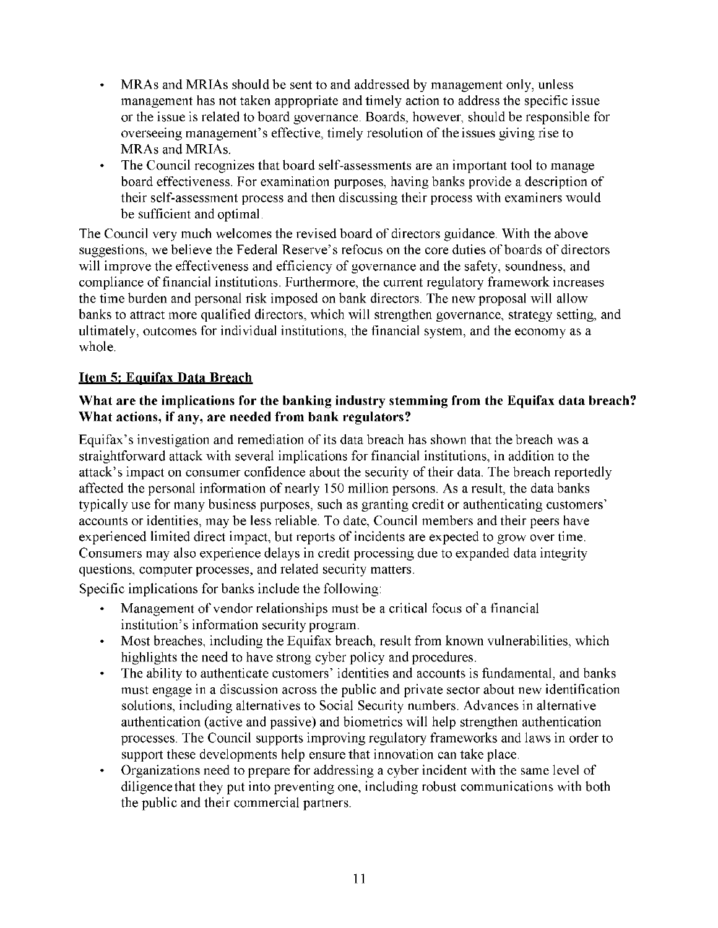- MRAs and MRIAs should be sent to and addressed by management only, unless management has not taken appropriate and timely action to address the specific issue or the issue is related to board governance. Boards, however, should be responsible for overseeing management's effective, timely resolution of the issues giving rise to MRAs and MRIAs.
- The Council recognizes that board self-assessments are an important tool to manage board effectiveness. For examination purposes, having banks provide a description of their self-assessment process and then discussing their process with examiners would be sufficient and optimal.

The Council very much welcomes the revised board of directors guidance. With the above suggestions, we believe the Federal Reserve's refocus on the core duties of boards of directors will improve the effectiveness and efficiency of governance and the safety, soundness, and compliance of financial institutions. Furthermore, the current regulatory framework increases the time burden and personal risk imposed on bank directors. The new proposal will allow banks to attract more qualified directors, which will strengthen governance, strategy setting, and ultimately, outcomes for individual institutions, the financial system, and the economy as a whole.

# **Item 5: Equifax Data Breach**

## **What are the implications for the banking industry stemming from the Equifax data breach? What actions, if any, are needed from bank regulators?**

Equifax's investigation and remediation of its data breach has shown that the breach was a straightforward attack with several implications for financial institutions, in addition to the attack's impact on consumer confidence about the security of their data. The breach reportedly affected the personal information of nearly 150 million persons. As a result, the data banks typically use for many business purposes, such as granting credit or authenticating customers' accounts or identities, may be less reliable. To date, Council members and their peers have experienced limited direct impact, but reports of incidents are expected to grow over time. Consumers may also experience delays in credit processing due to expanded data integrity questions, computer processes, and related security matters.

Specific implications for banks include the following:

- Management of vendor relationships must be a critical focus of a financial institution's information security program.
- Most breaches, including the Equifax breach, result from known vulnerabilities, which highlights the need to have strong cyber policy and procedures.
- The ability to authenticate customers' identities and accounts is fundamental, and banks must engage in a discussion across the public and private sector about new identification solutions, including alternatives to Social Security numbers. Advances in alternative authentication (active and passive) and biometrics will help strengthen authentication processes. The Council supports improving regulatory frameworks and laws in order to support these developments help ensure that innovation can take place.
- Organizations need to prepare for addressing a cyber incident with the same level of diligence that they put into preventing one, including robust communications with both the public and their commercial partners.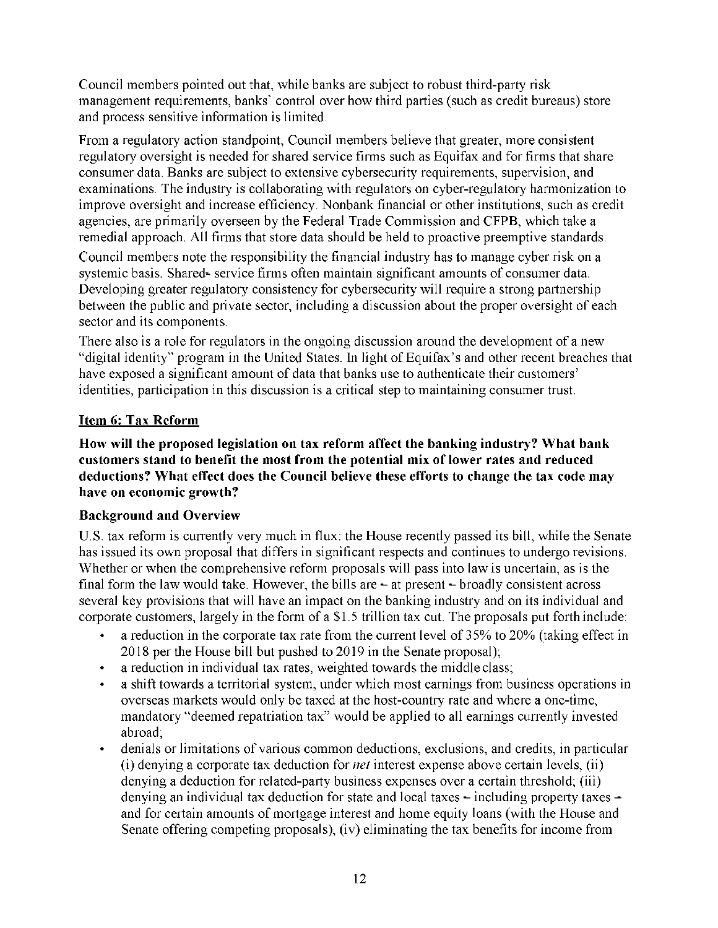Council members pointed out that, while banks are subject to robust third-party risk management requirements, banks' control over how third parties (such as credit bureaus) store and process sensitive information is limited.

From a regulatory action standpoint, Council members believe that greater, more consistent regulatory oversight is needed for shared service firms such as Equifax and for firms that share consumer data. Banks are subject to extensive cybersecurity requirements, supervision, and examinations. The industry is collaborating with regulators on cyber-regulatory harmonization to improve oversight and increase efficiency. Nonbank financial or other institutions, such as credit agencies, are primarily overseen by the Federal Trade Commission and CFPB, which take a remedial approach. All firms that store data should be held to proactive preemptive standards.

Council members note the responsibility the financial industry has to manage cyber risk on a systemic basis. Shared- service firms often maintain significant amounts of consumer data. Developing greater regulatory consistency for cybersecurity will require a strong partnership between the public and private sector, including a discussion about the proper oversight of each sector and its components.

There also is a role for regulators in the ongoing discussion around the development of a new "digital identity" program in the United States. In light of Equifax's and other recent breaches that have exposed a significant amount of data that banks use to authenticate their customers' identities, participation in this discussion is a critical step to maintaining consumer trust.

# **Item 6: Tax Reform**

**How will the proposed legislation on tax reform affect the banking industry? What bank customers stand to benefit the most from the potential mix of lower rates and reduced deductions? What effect does the Council believe these efforts to change the tax code may have on economic growth?** 

# **Background and Overview**

U.S. tax reform is currently very much in flux: the House recently passed its bill, while the Senate has issued its own proposal that differs in significant respects and continues to undergo revisions. Whether or when the comprehensive reform proposals will pass into law is uncertain, as is the final form the law would take. However, the bills are  $-$  at present  $-$  broadly consistent across several key provisions that will have an impact on the banking industry and on its individual and corporate customers, largely in the form of a \$1.5 trillion tax cut. The proposals put forth include:

- a reduction in the corporate tax rate from the current level of 35% to 20% (taking effect in 2018 per the House bill but pushed to 2019 in the Senate proposal);
- a reduction in individual tax rates, weighted towards the middle class;
- a shift towards a territorial system, under which most earnings from business operations in overseas markets would only be taxed at the host-country rate and where a one-time, mandatory "deemed repatriation tax" would be applied to all earnings currently invested abroad;
- denials or limitations of various common deductions, exclusions, and credits, in particular (i) denying a corporate tax deduction for *net* interest expense above certain levels, (ii) denying a deduction for related-party business expenses over a certain threshold; (iii) denying an individual tax deduction for state and local taxes – including property taxes – and for certain amounts of mortgage interest and home equity loans (with the House and Senate offering competing proposals), (iv) eliminating the tax benefits for income from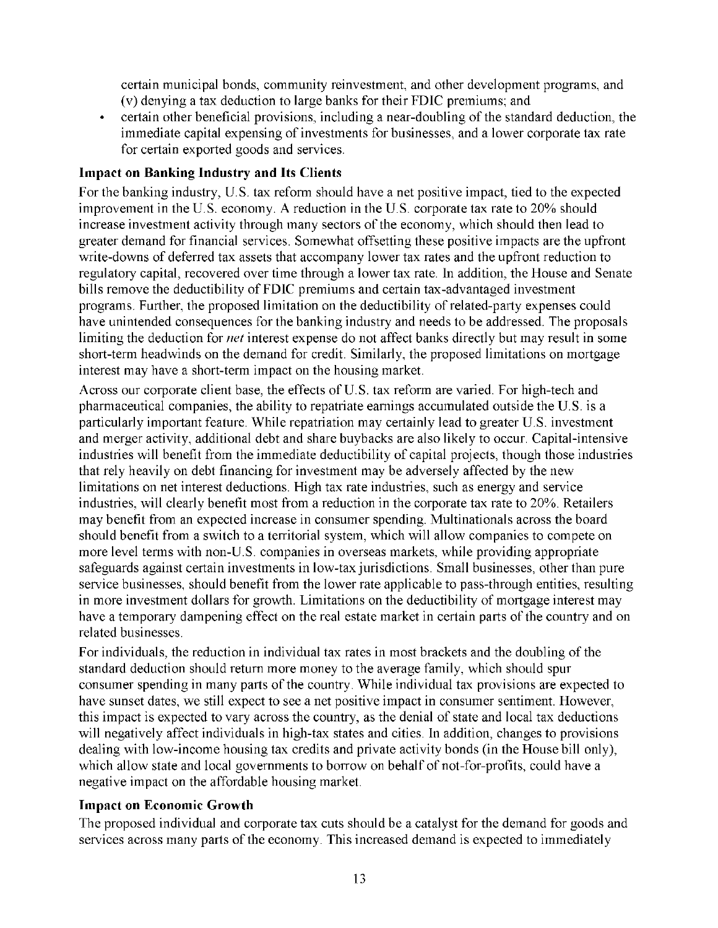certain municipal bonds, community reinvestment, and other development programs, and (v) denying a tax deduction to large banks for their FDIC premiums; and

• certain other beneficial provisions, including a near-doubling of the standard deduction, the immediate capital expensing of investments for businesses, and a lower corporate tax rate for certain exported goods and services.

# **Impact on Banking Industry and Its Clients**

For the banking industry, U.S. tax reform should have a net positive impact, tied to the expected improvement in the U.S. economy. A reduction in the U.S. corporate tax rate to 20% should increase investment activity through many sectors of the economy, which should then lead to greater demand for financial services. Somewhat offsetting these positive impacts are the upfront write-downs of deferred tax assets that accompany lower tax rates and the upfront reduction to regulatory capital, recovered over time through a lower tax rate. In addition, the House and Senate bills remove the deductibility of FDIC premiums and certain tax-advantaged investment programs. Further, the proposed limitation on the deductibility of related-party expenses could have unintended consequences for the banking industry and needs to be addressed. The proposals limiting the deduction for *net* interest expense do not affect banks directly but may result in some short-term headwinds on the demand for credit. Similarly, the proposed limitations on mortgage interest may have a short-term impact on the housing market.

Across our corporate client base, the effects of U.S. tax reform are varied. For high-tech and pharmaceutical companies, the ability to repatriate earnings accumulated outside the U.S. is a particularly important feature. While repatriation may certainly lead to greater U.S. investment and merger activity, additional debt and share buybacks are also likely to occur. Capital-intensive industries will benefit from the immediate deductibility of capital projects, though those industries that rely heavily on debt financing for investment may be adversely affected by the new limitations on net interest deductions. High tax rate industries, such as energy and service industries, will clearly benefit most from a reduction in the corporate tax rate to 20%. Retailers may benefit from an expected increase in consumer spending. Multinationals across the board should benefit from a switch to a territorial system, which will allow companies to compete on more level terms with non-U.S. companies in overseas markets, while providing appropriate safeguards against certain investments in low-tax jurisdictions. Small businesses, other than pure service businesses, should benefit from the lower rate applicable to pass-through entities, resulting in more investment dollars for growth. Limitations on the deductibility of mortgage interest may have a temporary dampening effect on the real estate market in certain parts of the country and on related businesses.

For individuals, the reduction in individual tax rates in most brackets and the doubling of the standard deduction should return more money to the average family, which should spur consumer spending in many parts of the country. While individual tax provisions are expected to have sunset dates, we still expect to see a net positive impact in consumer sentiment. However, this impact is expected to vary across the country, as the denial of state and local tax deductions will negatively affect individuals in high-tax states and cities. In addition, changes to provisions dealing with low-income housing tax credits and private activity bonds (in the House bill only), which allow state and local governments to borrow on behalf of not-for-profits, could have a negative impact on the affordable housing market.

## **Impact on Economic Growth**

The proposed individual and corporate tax cuts should be a catalyst for the demand for goods and services across many parts of the economy. This increased demand is expected to immediately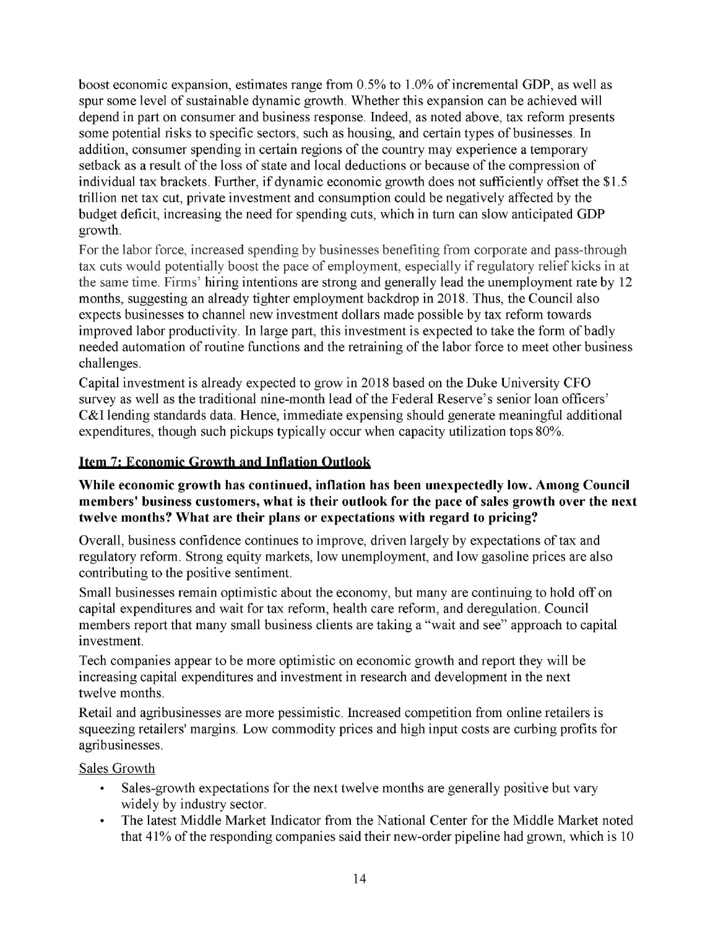boost economic expansion, estimates range from 0.5% to 1.0% of incremental GDP, as well as spur some level of sustainable dynamic growth. Whether this expansion can be achieved will depend in part on consumer and business response. Indeed, as noted above, tax reform presents some potential risks to specific sectors, such as housing, and certain types of businesses. In addition, consumer spending in certain regions of the country may experience a temporary setback as a result of the loss of state and local deductions or because of the compression of individual tax brackets. Further, if dynamic economic growth does not sufficiently offset the \$1.5 trillion net tax cut, private investment and consumption could be negatively affected by the budget deficit, increasing the need for spending cuts, which in turn can slow anticipated GDP growth.

For the labor force, increased spending by businesses benefiting from corporate and pass-through tax cuts would potentially boost the pace of employment, especially if regulatory relief kicks in at the same time. Firms' hiring intentions are strong and generally lead the unemployment rate by 12 months, suggesting an already tighter employment backdrop in 2018. Thus, the Council also expects businesses to channel new investment dollars made possible by tax reform towards improved labor productivity. In large part, this investment is expected to take the form of badly needed automation of routine functions and the retraining of the labor force to meet other business challenges.

Capital investment is already expected to grow in 2018 based on the Duke University CFO survey as well as the traditional nine-month lead of the Federal Reserve's senior loan officers' C&I lending standards data. Hence, immediate expensing should generate meaningful additional expenditures, though such pickups typically occur when capacity utilization tops 80%.

# **Item 7: Economic Growth and Inflation Outlook**

#### **While economic growth has continued, inflation has been unexpectedly low. Among Council members' business customers, what is their outlook for the pace of sales growth over the next twelve months? What are their plans or expectations with regard to pricing?**

Overall, business confidence continues to improve, driven largely by expectations of tax and regulatory reform. Strong equity markets, low unemployment, and low gasoline prices are also contributing to the positive sentiment.

Small businesses remain optimistic about the economy, but many are continuing to hold off on capital expenditures and wait for tax reform, health care reform, and deregulation. Council members report that many small business clients are taking a "wait and see" approach to capital investment.

Tech companies appear to be more optimistic on economic growth and report they will be increasing capital expenditures and investment in research and development in the next twelve months.

Retail and agribusinesses are more pessimistic. Increased competition from online retailers is squeezing retailers' margins. Low commodity prices and high input costs are curbing profits for agribusinesses.

Sales Growth

- Sales-growth expectations for the next twelve months are generally positive but vary widely by industry sector.
- The latest Middle Market Indicator from the National Center for the Middle Market noted that 41% of the responding companies said their new-order pipeline had grown, which is 10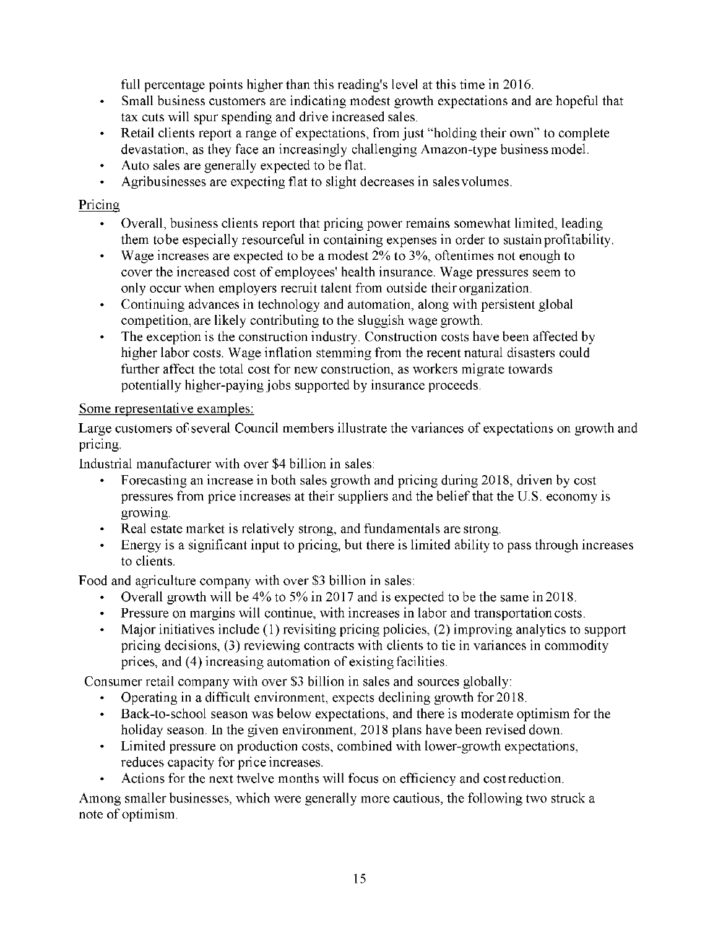full percentage points higher than this reading's level at this time in 2016.

- Small business customers are indicating modest growth expectations and are hopeful that tax cuts will spur spending and drive increased sales.
- Retail clients report a range of expectations, from just "holding their own" to complete devastation, as they face an increasingly challenging Amazon-type business model.
- Auto sales are generally expected to be flat.
- Agribusinesses are expecting flat to slight decreases in sales volumes.

## Pricing

- Overall, business clients report that pricing power remains somewhat limited, leading them to be especially resourceful in containing expenses in order to sustain profitability.
- Wage increases are expected to be a modest  $2\%$  to  $3\%$ , oftentimes not enough to cover the increased cost of employees' health insurance. Wage pressures seem to only occur when employers recruit talent from outside their organization.
- Continuing advances in technology and automation, along with persistent global competition, are likely contributing to the sluggish wage growth.
- The exception is the construction industry. Construction costs have been affected by higher labor costs. Wage inflation stemming from the recent natural disasters could further affect the total cost for new construction, as workers migrate towards potentially higher-paying jobs supported by insurance proceeds.

## Some representative examples:

Large customers of several Council members illustrate the variances of expectations on growth and pricing.

Industrial manufacturer with over \$4 billion in sales:

- Forecasting an increase in both sales growth and pricing during 2018, driven by cost pressures from price increases at their suppliers and the belief that the U.S. economy is growing.
- Real estate market is relatively strong, and fundamentals are strong.
- Energy is a significant input to pricing, but there is limited ability to pass through increases to clients.

Food and agriculture company with over \$3 billion in sales:

- Overall growth will be 4% to 5% in 2017 and is expected to be the same in 2018.
- Pressure on margins will continue, with increases in labor and transportation costs.
- Major initiatives include (1) revisiting pricing policies, (2) improving analytics to support pricing decisions, (3) reviewing contracts with clients to tie in variances in commodity prices, and (4) increasing automation of existing facilities.

Consumer retail company with over \$3 billion in sales and sources globally:

- Operating in a difficult environment, expects declining growth for 2018.
- Back-to-school season was below expectations, and there is moderate optimism for the holiday season. In the given environment, 2018 plans have been revised down.
- Limited pressure on production costs, combined with lower-growth expectations, reduces capacity for price increases.
- Actions for the next twelve months will focus on efficiency and cost reduction.

Among smaller businesses, which were generally more cautious, the following two struck a note of optimism.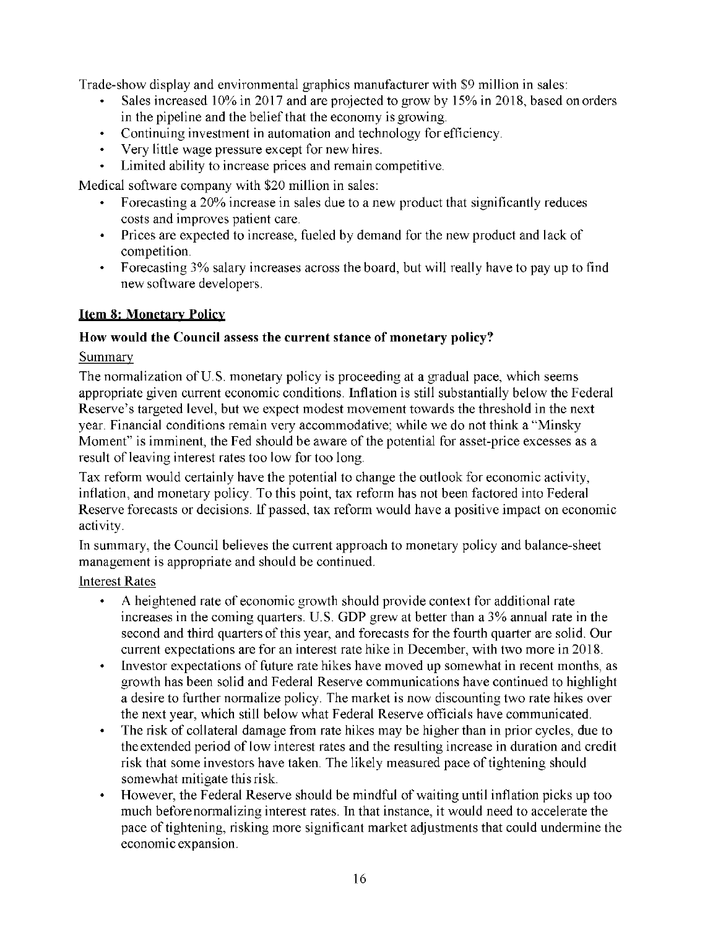Trade-show display and environmental graphics manufacturer with \$9 million in sales:

- Sales increased 10% in 2017 and are projected to grow by 15% in 2018, based on orders in the pipeline and the belief that the economy is growing.
- Continuing investment in automation and technology for efficiency.
- Very little wage pressure except for new hires.
- Limited ability to increase prices and remain competitive.

Medical software company with \$20 million in sales:

- Forecasting a 20% increase in sales due to a new product that significantly reduces costs and improves patient care.
- Prices are expected to increase, fueled by demand for the new product and lack of competition.
- Forecasting 3% salary increases across the board, but will really have to pay up to find new software developers.

# **Item 8: Monetary Policy**

# **How would the Council assess the current stance of monetary policy?**

# Summary

The normalization of U.S. monetary policy is proceeding at a gradual pace, which seems appropriate given current economic conditions. Inflation is still substantially below the Federal Reserve's targeted level, but we expect modest movement towards the threshold in the next year. Financial conditions remain very accommodative; while we do not think a "Minsky Moment" is imminent, the Fed should be aware of the potential for asset-price excesses as a result of leaving interest rates too low for too long.

Tax reform would certainly have the potential to change the outlook for economic activity, inflation, and monetary policy. To this point, tax reform has not been factored into Federal Reserve forecasts or decisions. If passed, tax reform would have a positive impact on economic activity.

In summary, the Council believes the current approach to monetary policy and balance-sheet management is appropriate and should be continued.

## Interest Rates

- A heightened rate of economic growth should provide context for additional rate increases in the coming quarters. U.S. GDP grew at better than a 3% annual rate in the second and third quarters of this year, and forecasts for the fourth quarter are solid. Our current expectations are for an interest rate hike in December, with two more in 2018.
- Investor expectations of future rate hikes have moved up somewhat in recent months, as growth has been solid and Federal Reserve communications have continued to highlight a desire to further normalize policy. The market is now discounting two rate hikes over the next year, which still below what Federal Reserve officials have communicated.
- The risk of collateral damage from rate hikes may be higher than in prior cycles, due to the extended period of low interest rates and the resulting increase in duration and credit risk that some investors have taken. The likely measured pace of tightening should somewhat mitigate this risk.
- However, the Federal Reserve should be mindful of waiting until inflation picks up too much before normalizing interest rates. In that instance, it would need to accelerate the pace of tightening, risking more significant market adjustments that could undermine the economic expansion.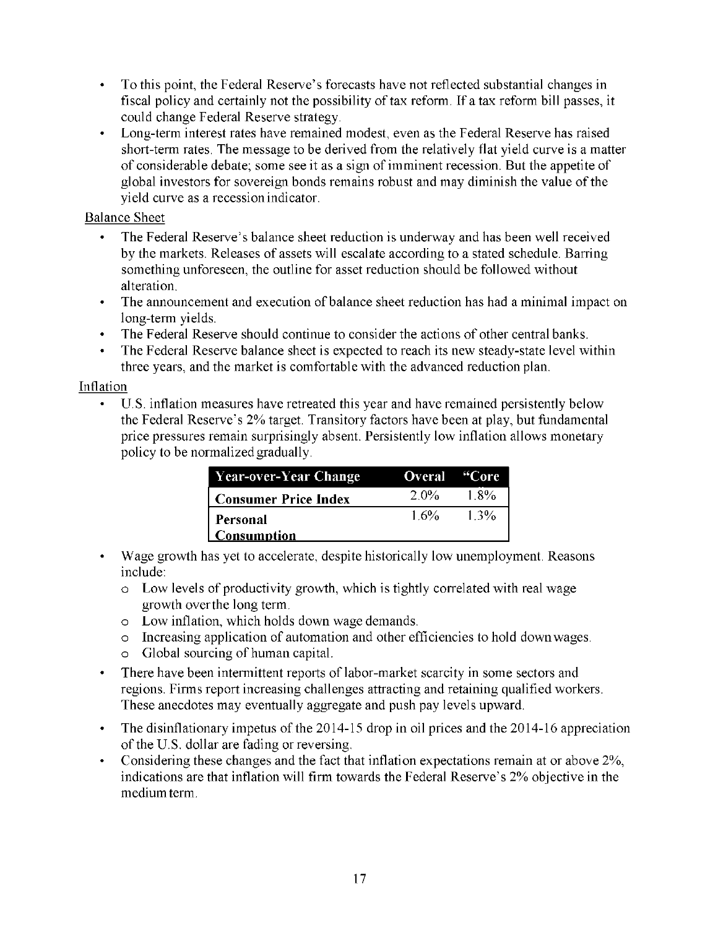- To this point, the Federal Reserve's forecasts have not reflected substantial changes in fiscal policy and certainly not the possibility of tax reform. If a tax reform bill passes, it could change Federal Reserve strategy.
- Long-term interest rates have remained modest, even as the Federal Reserve has raised short-term rates. The message to be derived from the relatively flat yield curve is a matter of considerable debate; some see it as a sign of imminent recession. But the appetite of global investors for sovereign bonds remains robust and may diminish the value of the yield curve as a recession indicator.

## Balance Sheet

- The Federal Reserve's balance sheet reduction is underway and has been well received by the markets. Releases of assets will escalate according to a stated schedule. Barring something unforeseen, the outline for asset reduction should be followed without alteration.
- The announcement and execution of balance sheet reduction has had a minimal impact on long-term yields.
- The Federal Reserve should continue to consider the actions of other central banks.
- The Federal Reserve balance sheet is expected to reach its new steady-state level within three years, and the market is comfortable with the advanced reduction plan.

## Inflation

• U.S. inflation measures have retreated this year and have remained persistently below the Federal Reserve's 2% target. Transitory factors have been at play, but fundamental price pressures remain surprisingly absent. Persistently low inflation allows monetary policy to be normalized gradually.

| Year-over-Year Change          | Overal "Core" |         |
|--------------------------------|---------------|---------|
| <b>Consumer Price Index</b>    | 2.0%          | - 1.8%  |
| Personal<br><b>Consumption</b> | $1.6\%$       | $1.3\%$ |

- Wage growth has yet to accelerate, despite historically low unemployment. Reasons include:
	- o Low levels of productivity growth, which is tightly correlated with real wage growth over the long term.
	- o Low inflation, which holds down wage demands.
	- o Increasing application of automation and other efficiencies to hold down wages.
	- o Global sourcing of human capital.
- There have been intermittent reports of labor-market scarcity in some sectors and regions. Firms report increasing challenges attracting and retaining qualified workers. These anecdotes may eventually aggregate and push pay levels upward.
- The disinflationary impetus of the 2014-15 drop in oil prices and the 2014-16 appreciation of the U.S. dollar are fading or reversing.
- Considering these changes and the fact that inflation expectations remain at or above 2%, indications are that inflation will firm towards the Federal Reserve's 2% objective in the medium term.